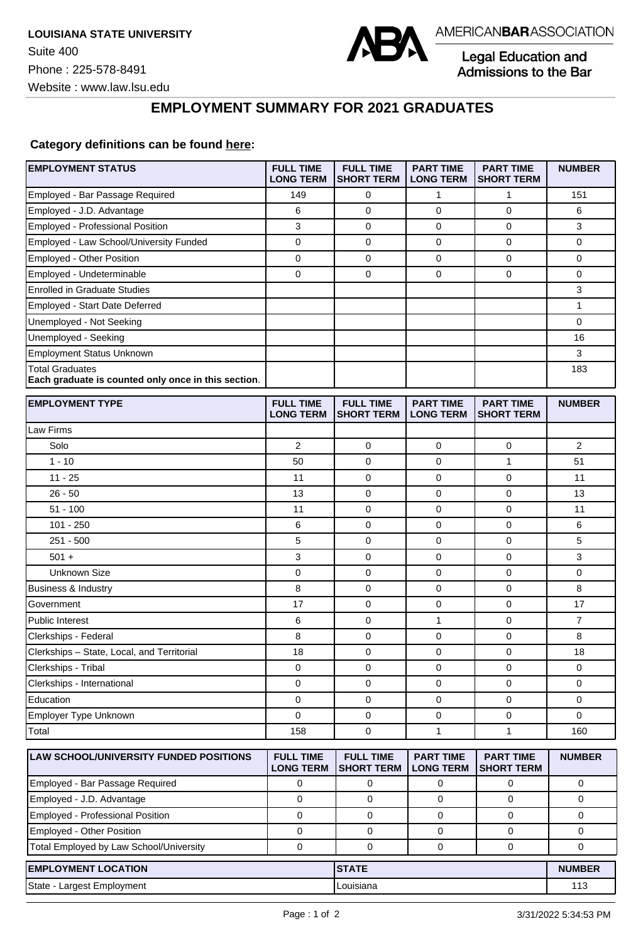

Legal Education and<br>Admissions to the Bar

## **EMPLOYMENT SUMMARY FOR 2021 GRADUATES**

## **Category definitions can be found [here:](https://www.americanbar.org/content/dam/aba/administrative/legal_education_and_admissions_to_the_bar/Questionnaires/2021/2022-employment-protocols-for-the-class-of-2021-september-2021.pdf)**

| <b>EMPLOYMENT STATUS</b>                                                      | <b>FULL TIME</b><br><b>LONG TERM</b> | <b>FULL TIME</b><br><b>SHORT TERM</b> | <b>PART TIME</b><br><b>LONG TERM</b> | <b>PART TIME</b><br><b>SHORT TERM</b> | <b>NUMBER</b>  |
|-------------------------------------------------------------------------------|--------------------------------------|---------------------------------------|--------------------------------------|---------------------------------------|----------------|
| Employed - Bar Passage Required                                               | 149                                  | 0                                     | 1                                    | 1                                     | 151            |
| Employed - J.D. Advantage                                                     | 6                                    | $\mathbf 0$                           | 0                                    | $\mathbf 0$                           | 6              |
| <b>Employed - Professional Position</b>                                       | 3                                    | 0                                     | 0                                    | $\mathbf 0$                           | 3              |
| Employed - Law School/University Funded                                       | 0                                    | 0                                     | 0                                    | 0                                     | 0              |
| Employed - Other Position                                                     | $\pmb{0}$                            | 0                                     | $\pmb{0}$                            | $\pmb{0}$                             | 0              |
| Employed - Undeterminable                                                     | $\mathbf 0$                          | $\mathbf 0$                           | 0                                    | $\mathbf 0$                           | 0              |
| <b>Enrolled in Graduate Studies</b>                                           |                                      |                                       |                                      |                                       | 3              |
| Employed - Start Date Deferred                                                |                                      |                                       |                                      |                                       | 1              |
| Unemployed - Not Seeking                                                      |                                      |                                       |                                      |                                       | 0              |
| Unemployed - Seeking                                                          |                                      |                                       |                                      |                                       | 16             |
| <b>Employment Status Unknown</b>                                              |                                      |                                       |                                      |                                       | 3              |
| <b>Total Graduates</b><br>Each graduate is counted only once in this section. |                                      |                                       |                                      |                                       | 183            |
| <b>EMPLOYMENT TYPE</b>                                                        | <b>FULL TIME</b><br><b>LONG TERM</b> | <b>FULL TIME</b><br><b>SHORT TERM</b> | <b>PART TIME</b><br><b>LONG TERM</b> | <b>PART TIME</b><br><b>SHORT TERM</b> | <b>NUMBER</b>  |
| Law Firms                                                                     |                                      |                                       |                                      |                                       |                |
| Solo                                                                          | 2                                    | 0                                     | 0                                    | 0                                     | 2              |
| $1 - 10$                                                                      | 50                                   | $\mathbf 0$                           | $\mathbf 0$                          | $\mathbf{1}$                          | 51             |
| $11 - 25$                                                                     | 11                                   | 0                                     | 0                                    | $\mathbf 0$                           | 11             |
| $26 - 50$                                                                     | 13                                   | 0                                     | 0                                    | $\mathbf 0$                           | 13             |
| $51 - 100$                                                                    | 11                                   | 0                                     | 0                                    | $\mathbf 0$                           | 11             |
| $101 - 250$                                                                   | 6                                    | 0                                     | $\mathbf 0$                          | $\mathbf 0$                           | 6              |
| $251 - 500$                                                                   | 5                                    | 0                                     | 0                                    | $\mathbf 0$                           | 5              |
| $501 +$                                                                       | 3                                    | 0                                     | 0                                    | 0                                     | 3              |
| <b>Unknown Size</b>                                                           | $\pmb{0}$                            | 0                                     | $\pmb{0}$                            | $\mathbf 0$                           | 0              |
| <b>Business &amp; Industry</b>                                                | 8                                    | 0                                     | 0                                    | $\mathbf 0$                           | 8              |
| Government                                                                    | 17                                   | $\mathbf 0$                           | 0                                    | $\mathbf 0$                           | 17             |
| Public Interest                                                               | 6                                    | 0                                     | 1                                    | $\mathbf 0$                           | $\overline{7}$ |
| Clerkships - Federal                                                          | 8                                    | 0                                     | $\mathbf 0$                          | $\mathbf 0$                           | 8              |
| Clerkships - State, Local, and Territorial                                    | 18                                   | 0                                     | $\mathbf 0$                          | 0                                     | 18             |
| Clerkships - Tribal                                                           | 0                                    | 0                                     | 0                                    | $\mathbf 0$                           | 0              |
| Clerkships - International                                                    | 0                                    | 0                                     | 0                                    | $\mathbf 0$                           | 0              |
| Education                                                                     | 0                                    | 0                                     | 0                                    | 0                                     | 0              |
| Employer Type Unknown                                                         | 0                                    | $\mathbf 0$                           | $\mathbf 0$                          | $\mathbf 0$                           | 0              |
| Total                                                                         | 158                                  | $\pmb{0}$                             | $\mathbf{1}$                         | 1                                     | 160            |
| LAW SCHOOL/UNIVERSITY FUNDED POSITIONS                                        | <b>FULL TIME</b><br><b>LONG TERM</b> | <b>FULL TIME</b><br><b>SHORT TERM</b> | <b>PART TIME</b><br><b>LONG TERM</b> | <b>PART TIME</b><br><b>SHORT TERM</b> | <b>NUMBER</b>  |
| Employed - Bar Passage Required                                               | 0                                    | 0                                     | 0                                    | 0                                     | 0              |
| Employed - J.D. Advantage                                                     | $\mathbf 0$                          | $\mathbf 0$                           | $\mathbf 0$                          | $\mathbf 0$                           | 0              |
| Employed - Professional Position                                              | $\mathbf 0$                          | $\mathbf 0$                           | 0                                    | $\mathbf 0$                           | 0              |
| Employed - Other Position                                                     | 0                                    | $\mathbf 0$                           | 0                                    | 0                                     | 0              |
| Total Employed by Law School/University                                       | 0                                    | 0                                     | 0                                    | 0                                     | 0              |
| <b>EMPLOYMENT LOCATION</b>                                                    |                                      | <b>STATE</b>                          |                                      |                                       | <b>NUMBER</b>  |
| State - Largest Employment                                                    |                                      | Louisiana                             |                                      |                                       | 113            |
|                                                                               |                                      |                                       |                                      |                                       |                |